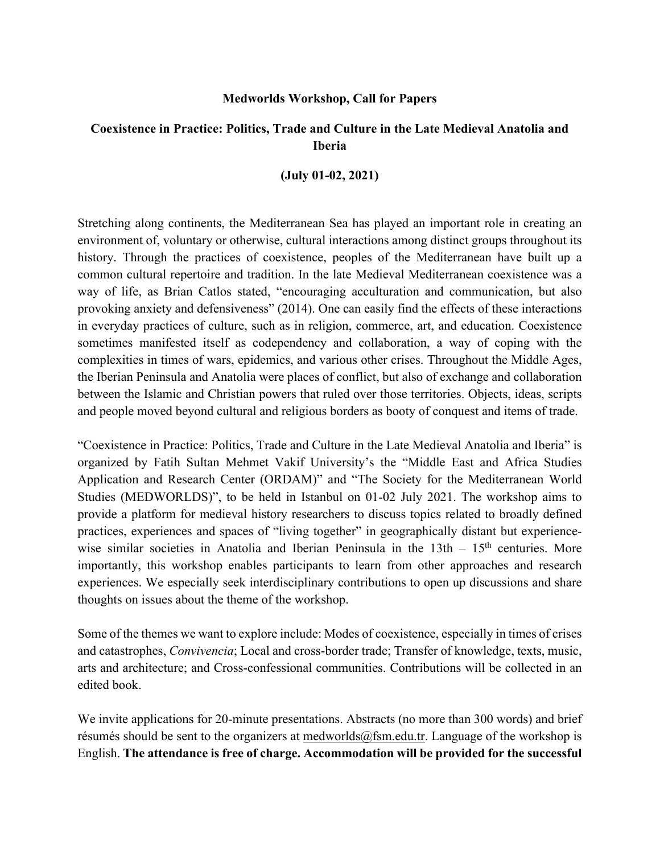#### **Medworlds Workshop, Call for Papers**

# **Coexistence in Practice: Politics, Trade and Culture in the Late Medieval Anatolia and Iberia**

### **(July 01-02, 2021)**

Stretching along continents, the Mediterranean Sea has played an important role in creating an environment of, voluntary or otherwise, cultural interactions among distinct groups throughout its history. Through the practices of coexistence, peoples of the Mediterranean have built up a common cultural repertoire and tradition. In the late Medieval Mediterranean coexistence was a way of life, as Brian Catlos stated, "encouraging acculturation and communication, but also provoking anxiety and defensiveness" (2014). One can easily find the effects of these interactions in everyday practices of culture, such as in religion, commerce, art, and education. Coexistence sometimes manifested itself as codependency and collaboration, a way of coping with the complexities in times of wars, epidemics, and various other crises. Throughout the Middle Ages, the Iberian Peninsula and Anatolia were places of conflict, but also of exchange and collaboration between the Islamic and Christian powers that ruled over those territories. Objects, ideas, scripts and people moved beyond cultural and religious borders as booty of conquest and items of trade.

"Coexistence in Practice: Politics, Trade and Culture in the Late Medieval Anatolia and Iberia" is organized by Fatih Sultan Mehmet Vakif University's the "Middle East and Africa Studies Application and Research Center (ORDAM)" and "The Society for the Mediterranean World Studies (MEDWORLDS)", to be held in Istanbul on 01-02 July 2021. The workshop aims to provide a platform for medieval history researchers to discuss topics related to broadly defined practices, experiences and spaces of "living together" in geographically distant but experiencewise similar societies in Anatolia and Iberian Peninsula in the  $13th - 15<sup>th</sup>$  centuries. More importantly, this workshop enables participants to learn from other approaches and research experiences. We especially seek interdisciplinary contributions to open up discussions and share thoughts on issues about the theme of the workshop.

Some of the themes we want to explore include: Modes of coexistence, especially in times of crises and catastrophes, *Convivencia*; Local and cross-border trade; Transfer of knowledge, texts, music, arts and architecture; and Cross-confessional communities. Contributions will be collected in an edited book.

We invite applications for 20-minute presentations. Abstracts (no more than 300 words) and brief résumés should be sent to the organizers at medworlds@fsm.edu.tr. Language of the workshop is English. **The attendance is free of charge. Accommodation will be provided for the successful**